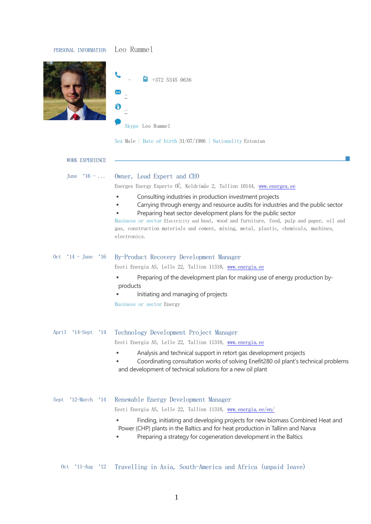## PERSONAL INFORMATION Leo Rummel



|   |                  | 白 | $+372$ 5345 0636 |  |
|---|------------------|---|------------------|--|
|   |                  |   |                  |  |
| н |                  |   |                  |  |
|   | Skype Leo Rummel |   |                  |  |

Sex Male | Date of birth 31/07/1986 | Nationality Estonian

| <b>WORK EXPERIENCE</b>               |                                                                                                                                                                                                                                                                                                                                                                                                                    |
|--------------------------------------|--------------------------------------------------------------------------------------------------------------------------------------------------------------------------------------------------------------------------------------------------------------------------------------------------------------------------------------------------------------------------------------------------------------------|
| June $16 - \ldots$                   | Owner, Lead Expert and CEO                                                                                                                                                                                                                                                                                                                                                                                         |
|                                      | Energex Energy Experts OÜ, Keldrimäe 2, Tallinn 10144, www.energex.ee                                                                                                                                                                                                                                                                                                                                              |
|                                      | Consulting industries in production investment projects<br>Carrying through energy and resource audits for industries and the public sector<br>Preparing heat sector development plans for the public sector<br>Business or sector Electricity and heat, wood and furniture, food, pulp and paper, oil and<br>gas, construction materials and cement, mining, metal, plastic, chemicals, machines,<br>electronics. |
| $14$ – June<br>$^{\circ}16$<br>0ct   | By-Product Recovery Development Manager                                                                                                                                                                                                                                                                                                                                                                            |
|                                      | Eesti Energia AS, Lelle 22, Tallinn 11318, www.energia.ee                                                                                                                                                                                                                                                                                                                                                          |
|                                      | Preparing of the development plan for making use of energy production by-<br>products<br>Initiating and managing of projects                                                                                                                                                                                                                                                                                       |
|                                      | Business or sector Energy                                                                                                                                                                                                                                                                                                                                                                                          |
| $'14$ -Sept<br>$^{\circ}14$<br>April | Technology Development Project Manager                                                                                                                                                                                                                                                                                                                                                                             |
|                                      | Eesti Energia AS, Lelle 22, Tallinn 11318, www.energia.ee                                                                                                                                                                                                                                                                                                                                                          |
|                                      | Analysis and technical support in retort gas development projects<br>Coordinating consultation works of solving Enefit280 oil plant's technical problems<br>and development of technical solutions for a new oil plant                                                                                                                                                                                             |
| $'12$ -March $'14$<br>Sept           | Renewable Energy Development Manager                                                                                                                                                                                                                                                                                                                                                                               |
|                                      | Eesti Energia AS, Lelle 22, Tallinn 11318, www.energia.ee/en/                                                                                                                                                                                                                                                                                                                                                      |
|                                      | Finding, initiating and developing projects for new biomass Combined Heat and<br>Power (CHP) plants in the Baltics and for heat production in Tallinn and Narva<br>Preparing a strategy for cogeneration development in the Baltics                                                                                                                                                                                |
| $11$ -Aug<br>$^{\circ}12$<br>0ct     | Travelling in Asia, South-America and Africa (unpaid leave)                                                                                                                                                                                                                                                                                                                                                        |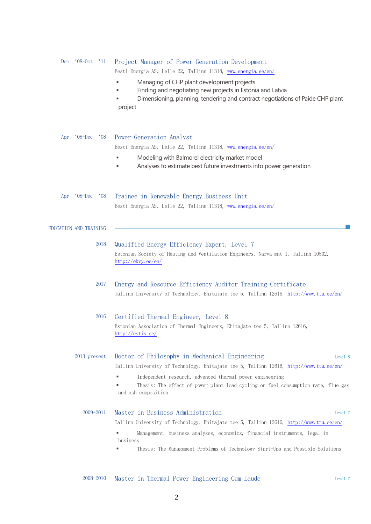| $^{\prime}11$<br>Dec<br>$^{\circ}08\text{-}0ct$ | Project Manager of Power Generation Development<br>Eesti Energia AS, Lelle 22, Tallinn 11318, www.energia.ee/en/                                                                                                                                                                                                   |
|-------------------------------------------------|--------------------------------------------------------------------------------------------------------------------------------------------------------------------------------------------------------------------------------------------------------------------------------------------------------------------|
|                                                 | Managing of CHP plant development projects<br>Finding and negotiating new projects in Estonia and Latvia<br>Dimensioning, planning, tendering and contract negotiations of Paide CHP plant<br>project                                                                                                              |
| $^{\circ}08$ -Dec<br>$^{\circ}08$<br>Apr        | Power Generation Analyst                                                                                                                                                                                                                                                                                           |
|                                                 | Eesti Energia AS, Lelle 22, Tallinn 11318, www.energia.ee/en/<br>Modeling with Balmorel electricity market model<br>Analyses to estimate best future investments into power generation                                                                                                                             |
| $^{\circ}08$ -Dec<br>$^{\circ}08$<br>Apr        | Trainee in Renewable Energy Business Unit<br>Eesti Energia AS, Lelle 22, Tallinn 11318, www.energia.ee/en/                                                                                                                                                                                                         |
| EDUCATION AND TRAINING                          |                                                                                                                                                                                                                                                                                                                    |
| 2018                                            | Qualified Energy Efficiency Expert, Level 7<br>Estonian Society of Heating and Ventilation Engineers, Narva mnt 1, Tallinn 10502,<br>$\frac{\text{http://ekvy.ee/en/}}{}$                                                                                                                                          |
| 2017                                            | Energy and Resource Efficiency Auditor Training Certificate<br>Tallinn University of Technology, Ehitajate tee 5, Tallinn 12616, http://www.ttu.ee/en/                                                                                                                                                             |
| 2016                                            | Certified Thermal Engineer, Level 8<br>Estonian Association of Thermal Engineers, Ehitajate tee 5, Tallinn 12616,<br>$\frac{\text{http://estis.ee/}}{}$                                                                                                                                                            |
| $2013$ -present                                 | Doctor of Philosophy in Mechanical Engineering<br>Level 8<br>Tallinn University of Technology, Ehitajate tee 5, Tallinn 12616, http://www.ttu.ee/en/                                                                                                                                                               |
|                                                 | Independent research, advanced thermal power engineering<br>Thesis: The effect of power plant load cycling on fuel consumption rate, flue gas<br>and ash composition                                                                                                                                               |
| 2009-2011                                       | Master in Business Administration<br>Level 7<br>Tallinn University of Technology, Ehitajate tee 5, Tallinn 12616, http://www.ttu.ee/en/<br>Management, business analyses, economics, financial instruments, legal in<br>business<br>Thesis: The Management Problems of Technology Start-Ups and Possible Solutions |
| 2008-2010                                       | Master in Thermal Power Engineering Cum Laude<br>Level 7                                                                                                                                                                                                                                                           |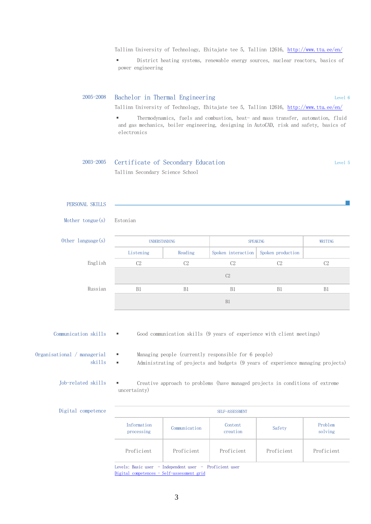Tallinn University of Technology, Ehitajate tee 5, Tallinn 12616, <http://www.ttu.ee/en/>

▪ District heating systems, renewable energy sources, nuclear reactors, basics of power engineering

| 2005-2008 | Bachelor in Thermal Engineering                                                                                                                                                                 | Level 6 |
|-----------|-------------------------------------------------------------------------------------------------------------------------------------------------------------------------------------------------|---------|
|           | Tallinn University of Technology, Ehitajate tee 5, Tallinn 12616, http://www.ttu.ee/en/                                                                                                         |         |
|           | Thermodynamics, fuels and combustion, heat- and mass transfer, automation, fluid<br>٠<br>and gas mechanics, boiler engineering, designing in AutoCAD, risk and safety, basics of<br>electronics |         |

## 2003-2005 Certificate of Secondary Education Level 5 Tallinn Secondary Science School

## PERSONAL SKILLS

Mother tongue(s) Estonian

| Other language(s) | UNDERSTANDING  |         | <b>SPEAKING</b>    |                   | WRITING |
|-------------------|----------------|---------|--------------------|-------------------|---------|
|                   | Listening      | Reading | Spoken interaction | Spoken production |         |
| English           | C <sub>2</sub> | C2      | C <sub>2</sub>     | C2                | C2      |
|                   |                |         | C <sub>2</sub>     |                   |         |
| Russian           | B <sub>1</sub> | B1      | B1                 | B1                | B1      |
|                   |                |         | B1                 |                   |         |

Communication skills ▪ Good communication skills (9 years of experience with client meetings)

Organisational / managerial skills

- Managing people (currently responsible for 6 people)
- Administrating of projects and budgets (9 years of experience managing projects)
- Job-related skills Creative approach to problems (have managed projects in conditions of extreme uncertainty)

| Digital competence | SELF-ASSESSMENT                                                                                                                                                                                                                 |               |                     |            |                    |
|--------------------|---------------------------------------------------------------------------------------------------------------------------------------------------------------------------------------------------------------------------------|---------------|---------------------|------------|--------------------|
|                    | Information<br>processing                                                                                                                                                                                                       | Communication | Content<br>creation | Safety     | Problem<br>solving |
|                    | Proficient                                                                                                                                                                                                                      | Proficient    | Proficient          | Proficient | Proficient         |
|                    | $\sim$ . The second contract of the second contract of the second contract of the second contract of the second contract of the second contract of the second contract of the second contract of the second contract of the sec |               |                     |            |                    |

Levels: Basic user - Independent user - Proficient user [Digital competences -](http://europass.cedefop.europa.eu/en/resources/digital-competences) Self-assessment grid